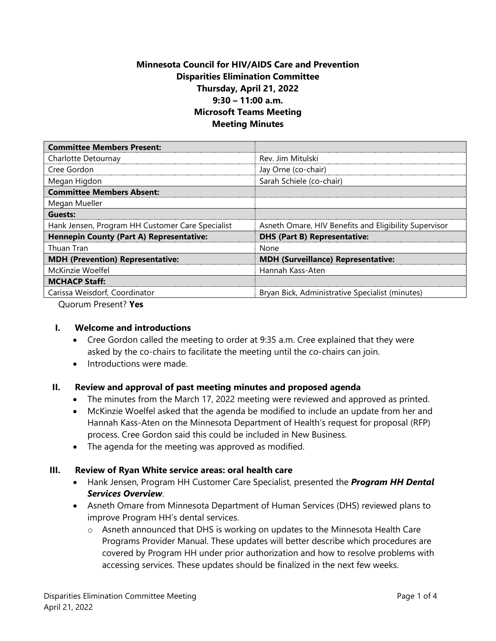# **Minnesota Council for HIV/AIDS Care and Prevention Disparities Elimination Committee Thursday, April 21, 2022 9:30 – 11:00 a.m. Microsoft Teams Meeting Meeting Minutes**

| <b>Committee Members Present:</b>                |                                                       |
|--------------------------------------------------|-------------------------------------------------------|
| Charlotte Detournay                              | Rev. Jim Mitulski                                     |
| Cree Gordon                                      | Jay Orne (co-chair)                                   |
| Megan Higdon                                     | Sarah Schiele (co-chair)                              |
| <b>Committee Members Absent:</b>                 |                                                       |
| Megan Mueller                                    |                                                       |
| Guests:                                          |                                                       |
| Hank Jensen, Program HH Customer Care Specialist | Asneth Omare, HIV Benefits and Eligibility Supervisor |
| <b>Hennepin County (Part A) Representative:</b>  | <b>DHS (Part B) Representative:</b>                   |
| Thuan Tran                                       | None                                                  |
| <b>MDH (Prevention) Representative:</b>          | <b>MDH (Surveillance) Representative:</b>             |
| McKinzie Woelfel                                 | Hannah Kass-Aten                                      |
| <b>MCHACP Staff:</b>                             |                                                       |
| Carissa Weisdorf, Coordinator                    | Bryan Bick, Administrative Specialist (minutes)       |

Quorum Present? **Yes**

### **I. Welcome and introductions**

- Cree Gordon called the meeting to order at 9:35 a.m. Cree explained that they were asked by the co-chairs to facilitate the meeting until the co-chairs can join.
- Introductions were made.

### **II. Review and approval of past meeting minutes and proposed agenda**

- The minutes from the March 17, 2022 meeting were reviewed and approved as printed.
- McKinzie Woelfel asked that the agenda be modified to include an update from her and Hannah Kass-Aten on the Minnesota Department of Health's request for proposal (RFP) process. Cree Gordon said this could be included in New Business.
- The agenda for the meeting was approved as modified.

#### **III. [Review of Ryan White service areas:](https://targethiv.org/sites/default/files/supporting-files/module5-QRH_5.1.pdf) oral health care**

- Hank Jensen, Program HH Customer Care Specialist, presented the *Program HH Dental Services Overview*.
- Asneth Omare from Minnesota Department of Human Services (DHS) reviewed plans to improve Program HH's dental services.
	- o Asneth announced that DHS is working on updates to the Minnesota Health Care Programs Provider Manual. These updates will better describe which procedures are covered by Program HH under prior authorization and how to resolve problems with accessing services. These updates should be finalized in the next few weeks.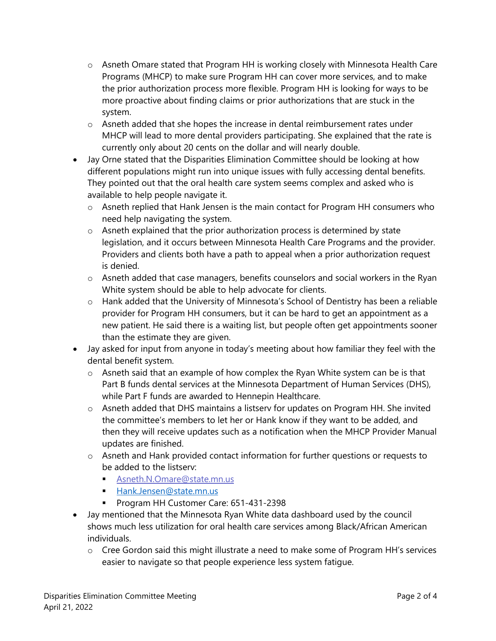- o Asneth Omare stated that Program HH is working closely with Minnesota Health Care Programs (MHCP) to make sure Program HH can cover more services, and to make the prior authorization process more flexible. Program HH is looking for ways to be more proactive about finding claims or prior authorizations that are stuck in the system.
- $\circ$  Asneth added that she hopes the increase in dental reimbursement rates under MHCP will lead to more dental providers participating. She explained that the rate is currently only about 20 cents on the dollar and will nearly double.
- Jay Orne stated that the Disparities Elimination Committee should be looking at how different populations might run into unique issues with fully accessing dental benefits. They pointed out that the oral health care system seems complex and asked who is available to help people navigate it.
	- o Asneth replied that Hank Jensen is the main contact for Program HH consumers who need help navigating the system.
	- o Asneth explained that the prior authorization process is determined by state legislation, and it occurs between Minnesota Health Care Programs and the provider. Providers and clients both have a path to appeal when a prior authorization request is denied.
	- o Asneth added that case managers, benefits counselors and social workers in the Ryan White system should be able to help advocate for clients.
	- o Hank added that the University of Minnesota's School of Dentistry has been a reliable provider for Program HH consumers, but it can be hard to get an appointment as a new patient. He said there is a waiting list, but people often get appointments sooner than the estimate they are given.
- Jay asked for input from anyone in today's meeting about how familiar they feel with the dental benefit system.
	- o Asneth said that an example of how complex the Ryan White system can be is that Part B funds dental services at the Minnesota Department of Human Services (DHS), while Part F funds are awarded to Hennepin Healthcare.
	- o Asneth added that DHS maintains a listserv for updates on Program HH. She invited the committee's members to let her or Hank know if they want to be added, and then they will receive updates such as a notification when the MHCP Provider Manual updates are finished.
	- o Asneth and Hank provided contact information for further questions or requests to be added to the listserv:
		- [Asneth.N.Omare@state.mn.us](mailto:Asneth.N.Omare@state.mn.us)
		- [Hank.Jensen@state.mn.us](mailto:Hank.Jensen@state.mn.us)
		- Program HH Customer Care: 651-431-2398
- Jay mentioned that the Minnesota Ryan White data dashboard used by the council shows much less utilization for oral health care services among Black/African American individuals.
	- o Cree Gordon said this might illustrate a need to make some of Program HH's services easier to navigate so that people experience less system fatigue.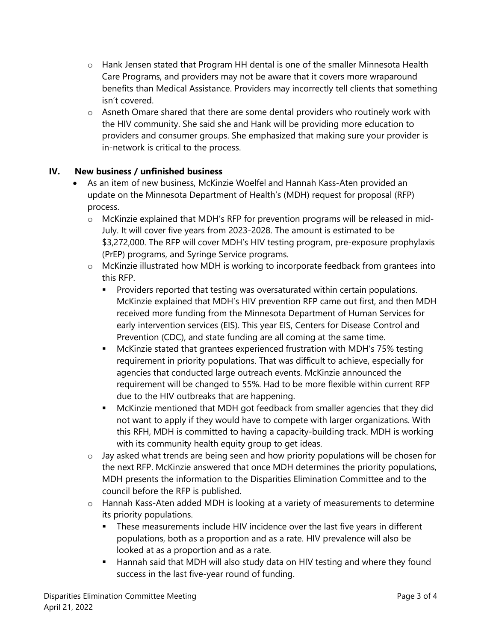- $\circ$  Hank Jensen stated that Program HH dental is one of the smaller Minnesota Health Care Programs, and providers may not be aware that it covers more wraparound benefits than Medical Assistance. Providers may incorrectly tell clients that something isn't covered.
- $\circ$  Asneth Omare shared that there are some dental providers who routinely work with the HIV community. She said she and Hank will be providing more education to providers and consumer groups. She emphasized that making sure your provider is in-network is critical to the process.

## **IV. New business / unfinished business**

- As an item of new business, McKinzie Woelfel and Hannah Kass-Aten provided an update on the Minnesota Department of Health's (MDH) request for proposal (RFP) process.
	- o McKinzie explained that MDH's RFP for prevention programs will be released in mid-July. It will cover five years from 2023-2028. The amount is estimated to be \$3,272,000. The RFP will cover MDH's HIV testing program, pre-exposure prophylaxis (PrEP) programs, and Syringe Service programs.
	- o McKinzie illustrated how MDH is working to incorporate feedback from grantees into this RFP.
		- Providers reported that testing was oversaturated within certain populations. McKinzie explained that MDH's HIV prevention RFP came out first, and then MDH received more funding from the Minnesota Department of Human Services for early intervention services (EIS). This year EIS, Centers for Disease Control and Prevention (CDC), and state funding are all coming at the same time.
		- McKinzie stated that grantees experienced frustration with MDH's 75% testing requirement in priority populations. That was difficult to achieve, especially for agencies that conducted large outreach events. McKinzie announced the requirement will be changed to 55%. Had to be more flexible within current RFP due to the HIV outbreaks that are happening.
		- McKinzie mentioned that MDH got feedback from smaller agencies that they did not want to apply if they would have to compete with larger organizations. With this RFH, MDH is committed to having a capacity-building track. MDH is working with its community health equity group to get ideas.
	- o Jay asked what trends are being seen and how priority populations will be chosen for the next RFP. McKinzie answered that once MDH determines the priority populations, MDH presents the information to the Disparities Elimination Committee and to the council before the RFP is published.
	- o Hannah Kass-Aten added MDH is looking at a variety of measurements to determine its priority populations.
		- These measurements include HIV incidence over the last five years in different populations, both as a proportion and as a rate. HIV prevalence will also be looked at as a proportion and as a rate.
		- Hannah said that MDH will also study data on HIV testing and where they found success in the last five-year round of funding.